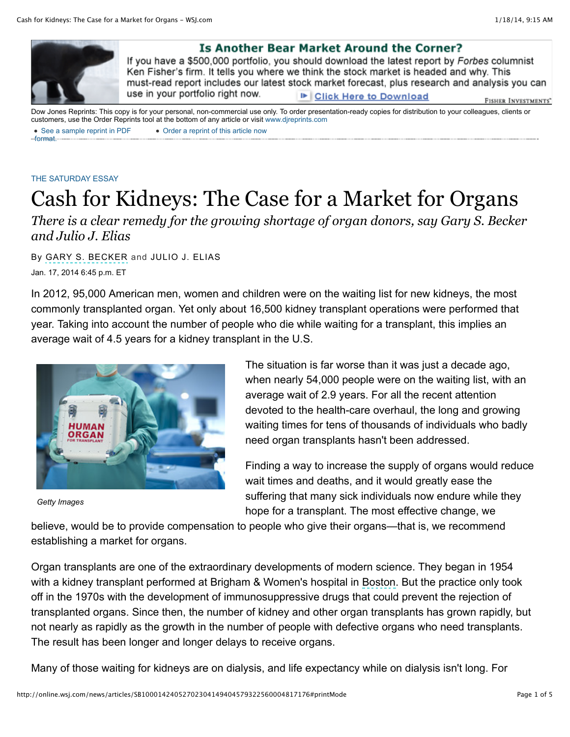

## Is Another Bear Market Around the Corner?

If you have a \$500,000 portfolio, you should download the latest report by Forbes columnist Ken Fisher's firm. It tells you where we think the stock market is headed and why. This must-read report includes our latest stock market forecast, plus research and analysis you can use in your portfolio right now. **■ Click Here to Download** FISHER INVESTMENTS"

• [See a sample reprint in PDF](http://online.wsj.com/public/resources/documents/Reprint_Samples.pdf) Dow Jones Reprints: This copy is for your personal, non-commercial use only. To order presentation-ready copies for distribution to your colleagues, clients or customers, use the Order Reprints tool at the bottom of any article or visit [www.djreprints.com](http://www.djreprints.com/) [Order a reprint of this article now](http://online.wsj.com/news/articles/SB10001424052702304149404579322560004817176#)

## [THE SATURDAY ESSAY](http://online.wsj.com/public/search?article-doc-type=%7BThe+Saturday+Essay%7D&HEADER_TEXT=the+saturday+essay)

format.

## Cash for Kidneys: The Case for a Market for Organs

*There is a clear remedy for the growing shortage of organ donors, say Gary S. Becker and Julio J. Elias*

Jan. 17, 2014 6:45 p.m. ET By GARY S. BECKER and JULIO J. ELIAS

In 2012, 95,000 American men, women and children were on the waiting list for new kidneys, the most commonly transplanted organ. Yet only about 16,500 kidney transplant operations were performed that year. Taking into account the number of people who die while waiting for a transplant, this implies an average wait of 4.5 years for a kidney transplant in the U.S.



*Getty Images*

The situation is far worse than it was just a decade ago, when nearly 54,000 people were on the waiting list, with an average wait of 2.9 years. For all the recent attention devoted to the health-care overhaul, the long and growing waiting times for tens of thousands of individuals who badly need organ transplants hasn't been addressed.

Finding a way to increase the supply of organs would reduce wait times and deaths, and it would greatly ease the suffering that many sick individuals now endure while they hope for a transplant. The most effective change, we

believe, would be to provide compensation to people who give their organs—that is, we recommend establishing a market for organs.

Organ transplants are one of the extraordinary developments of modern science. They began in 1954 with a kidney transplant performed at Brigham & Women's hospital in Boston. But the practice only took off in the 1970s with the development of immunosuppressive drugs that could prevent the rejection of transplanted organs. Since then, the number of kidney and other organ transplants has grown rapidly, but not nearly as rapidly as the growth in the number of people with defective organs who need transplants. The result has been longer and longer delays to receive organs.

Many of those waiting for kidneys are on dialysis, and life expectancy while on dialysis isn't long. For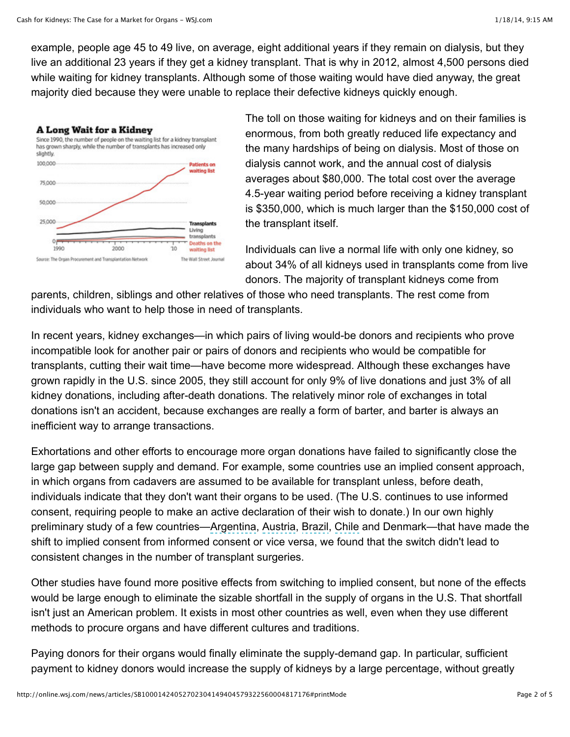example, people age 45 to 49 live, on average, eight additional years if they remain on dialysis, but they live an additional 23 years if they get a kidney transplant. That is why in 2012, almost 4,500 persons died while waiting for kidney transplants. Although some of those waiting would have died anyway, the great majority died because they were unable to replace their defective kidneys quickly enough.



The toll on those waiting for kidneys and on their families is enormous, from both greatly reduced life expectancy and the many hardships of being on dialysis. Most of those on dialysis cannot work, and the annual cost of dialysis averages about \$80,000. The total cost over the average 4.5-year waiting period before receiving a kidney transplant is \$350,000, which is much larger than the \$150,000 cost of the transplant itself.

Individuals can live a normal life with only one kidney, so about 34% of all kidneys used in transplants come from live donors. The majority of transplant kidneys come from

parents, children, siblings and other relatives of those who need transplants. The rest come from individuals who want to help those in need of transplants.

In recent years, kidney exchanges—in which pairs of living would-be donors and recipients who prove incompatible look for another pair or pairs of donors and recipients who would be compatible for transplants, cutting their wait time—have become more widespread. Although these exchanges have grown rapidly in the U.S. since 2005, they still account for only 9% of live donations and just 3% of all kidney donations, including after-death donations. The relatively minor role of exchanges in total donations isn't an accident, because exchanges are really a form of barter, and barter is always an inefficient way to arrange transactions.

Exhortations and other efforts to encourage more organ donations have failed to significantly close the large gap between supply and demand. For example, some countries use an implied consent approach, in which organs from cadavers are assumed to be available for transplant unless, before death, individuals indicate that they don't want their organs to be used. (The U.S. continues to use informed consent, requiring people to make an active declaration of their wish to donate.) In our own highly preliminary study of a few countries—Argentina, Austria, Brazil, Chile and Denmark—that have made the shift to implied consent from informed consent or vice versa, we found that the switch didn't lead to consistent changes in the number of transplant surgeries.

Other studies have found more positive effects from switching to implied consent, but none of the effects would be large enough to eliminate the sizable shortfall in the supply of organs in the U.S. That shortfall isn't just an American problem. It exists in most other countries as well, even when they use different methods to procure organs and have different cultures and traditions.

Paying donors for their organs would finally eliminate the supply-demand gap. In particular, sufficient payment to kidney donors would increase the supply of kidneys by a large percentage, without greatly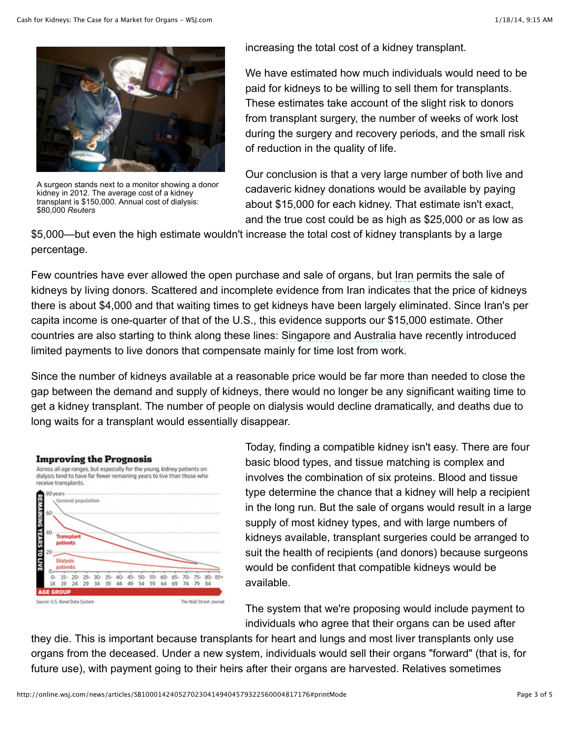

A surgeon stands next to a monitor showing a donor kidney in 2012. The average cost of a kidney transplant is \$150,000. Annual cost of dialysis: \$80,000 *Reuters*

increasing the total cost of a kidney transplant.

We have estimated how much individuals would need to be paid for kidneys to be willing to sell them for transplants. These estimates take account of the slight risk to donors from transplant surgery, the number of weeks of work lost during the surgery and recovery periods, and the small risk of reduction in the quality of life.

Our conclusion is that a very large number of both live and cadaveric kidney donations would be available by paying about \$15,000 for each kidney. That estimate isn't exact, and the true cost could be as high as \$25,000 or as low as

\$5,000—but even the high estimate wouldn't increase the total cost of kidney transplants by a large percentage.

Few countries have ever allowed the open purchase and sale of organs, but Iran permits the sale of kidneys by living donors. Scattered and incomplete evidence from Iran indicates that the price of kidneys there is about \$4,000 and that waiting times to get kidneys have been largely eliminated. Since Iran's per capita income is one-quarter of that of the U.S., this evidence supports our \$15,000 estimate. Other countries are also starting to think along these lines: Singapore and Australia have recently introduced limited payments to live donors that compensate mainly for time lost from work.

Since the number of kidneys available at a reasonable price would be far more than needed to close the gap between the demand and supply of kidneys, there would no longer be any significant waiting time to get a kidney transplant. The number of people on dialysis would decline dramatically, and deaths due to long waits for a transplant would essentially disappear.



Across all age ranges, but especially for the young, kidney patients on dialysis tend to have far fewer remaining years to live than those who receive transplants.



Today, finding a compatible kidney isn't easy. There are four basic blood types, and tissue matching is complex and involves the combination of six proteins. Blood and tissue type determine the chance that a kidney will help a recipient in the long run. But the sale of organs would result in a large supply of most kidney types, and with large numbers of kidneys available, transplant surgeries could be arranged to suit the health of recipients (and donors) because surgeons would be confident that compatible kidneys would be available.

The system that we're proposing would include payment to individuals who agree that their organs can be used after

they die. This is important because transplants for heart and lungs and most liver transplants only use organs from the deceased. Under a new system, individuals would sell their organs "forward" (that is, for future use), with payment going to their heirs after their organs are harvested. Relatives sometimes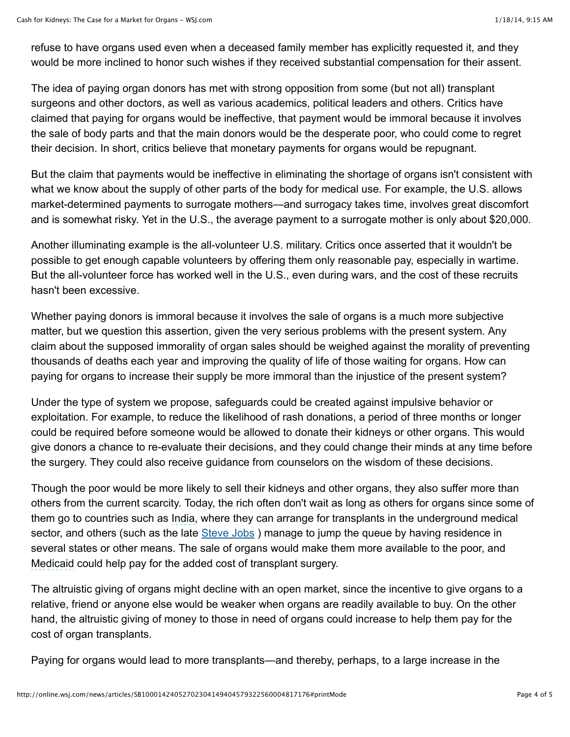refuse to have organs used even when a deceased family member has explicitly requested it, and they would be more inclined to honor such wishes if they received substantial compensation for their assent.

The idea of paying organ donors has met with strong opposition from some (but not all) transplant surgeons and other doctors, as well as various academics, political leaders and others. Critics have claimed that paying for organs would be ineffective, that payment would be immoral because it involves the sale of body parts and that the main donors would be the desperate poor, who could come to regret their decision. In short, critics believe that monetary payments for organs would be repugnant.

But the claim that payments would be ineffective in eliminating the shortage of organs isn't consistent with what we know about the supply of other parts of the body for medical use. For example, the U.S. allows market-determined payments to surrogate mothers—and surrogacy takes time, involves great discomfort and is somewhat risky. Yet in the U.S., the average payment to a surrogate mother is only about \$20,000.

Another illuminating example is the all-volunteer U.S. military. Critics once asserted that it wouldn't be possible to get enough capable volunteers by offering them only reasonable pay, especially in wartime. But the all-volunteer force has worked well in the U.S., even during wars, and the cost of these recruits hasn't been excessive.

Whether paying donors is immoral because it involves the sale of organs is a much more subjective matter, but we question this assertion, given the very serious problems with the present system. Any claim about the supposed immorality of organ sales should be weighed against the morality of preventing thousands of deaths each year and improving the quality of life of those waiting for organs. How can paying for organs to increase their supply be more immoral than the injustice of the present system?

Under the type of system we propose, safeguards could be created against impulsive behavior or exploitation. For example, to reduce the likelihood of rash donations, a period of three months or longer could be required before someone would be allowed to donate their kidneys or other organs. This would give donors a chance to re-evaluate their decisions, and they could change their minds at any time before the surgery. They could also receive guidance from counselors on the wisdom of these decisions.

Though the poor would be more likely to sell their kidneys and other organs, they also suffer more than others from the current scarcity. Today, the rich often don't wait as long as others for organs since some of them go to countries such as India, where they can arrange for transplants in the underground medical sector, and others (such as the late Steve Jobs) manage to jump the queue by having residence in several states or other means. The sale of organs would make them more available to the poor, and Medicaid could help pay for the added cost of transplant surgery.

The altruistic giving of organs might decline with an open market, since the incentive to give organs to a relative, friend or anyone else would be weaker when organs are readily available to buy. On the other hand, the altruistic giving of money to those in need of organs could increase to help them pay for the cost of organ transplants.

Paying for organs would lead to more transplants—and thereby, perhaps, to a large increase in the